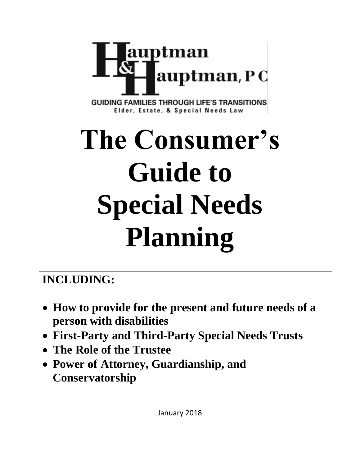

**GUIDING FAMILIES THROUGH LIFE'S TRANSITIONS** Elder, Estate, & Special Needs Law

# **The Consumer's Guide to Special Needs Planning**

# **INCLUDING:**

- **How to provide for the present and future needs of a person with disabilities**
- **First-Party and Third-Party Special Needs Trusts**
- **The Role of the Trustee**
- **Power of Attorney, Guardianship, and Conservatorship**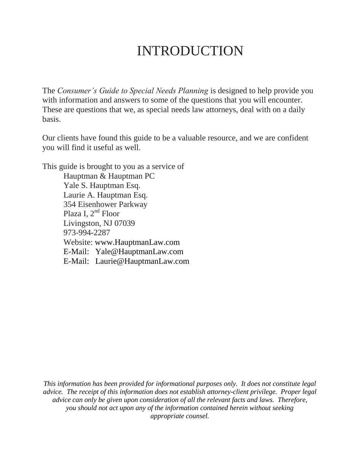# INTRODUCTION

The *Consumer's Guide to Special Needs Planning* is designed to help provide you with information and answers to some of the questions that you will encounter. These are questions that we, as special needs law attorneys, deal with on a daily basis.

Our clients have found this guide to be a valuable resource, and we are confident you will find it useful as well.

This guide is brought to you as a service of Hauptman & Hauptman PC Yale S. Hauptman Esq. Laurie A. Hauptman Esq. 354 Eisenhower Parkway Plaza I,  $2<sup>nd</sup>$  Floor Livingston, NJ 07039 973-994-2287 Website: [www.HauptmanLaw.com](http://www.hauptmanlaw.com/) E-Mail: [Yale@HauptmanLaw.com](mailto:Yale@HauptmanLaw.com) E-Mail: Laurie@HauptmanLaw.com

*This information has been provided for informational purposes only. It does not constitute legal advice. The receipt of this information does not establish attorney-client privilege. Proper legal advice can only be given upon consideration of all the relevant facts and laws. Therefore, you should not act upon any of the information contained herein without seeking appropriate counsel.*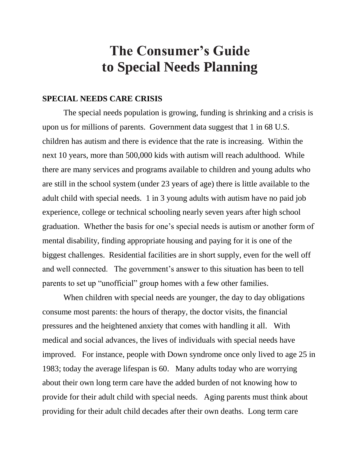# **The Consumer's Guide to Special Needs Planning**

## **SPECIAL NEEDS CARE CRISIS**

The special needs population is growing, funding is shrinking and a crisis is upon us for millions of parents. Government data suggest that 1 in 68 U.S. children has autism and there is evidence that the rate is increasing. Within the next 10 years, more than 500,000 kids with autism will reach adulthood. While there are many services and programs available to children and young adults who are still in the school system (under 23 years of age) there is little available to the adult child with special needs. 1 in 3 young adults with autism have no paid job experience, college or technical schooling nearly seven years after high school graduation. Whether the basis for one's special needs is autism or another form of mental disability, finding appropriate housing and paying for it is one of the biggest challenges. Residential facilities are in short supply, even for the well off and well connected. The government's answer to this situation has been to tell parents to set up "unofficial" group homes with a few other families.

When children with special needs are younger, the day to day obligations consume most parents: the hours of therapy, the doctor visits, the financial pressures and the heightened anxiety that comes with handling it all. With medical and social advances, the lives of individuals with special needs have improved. For instance, people with Down syndrome once only lived to age 25 in 1983; today the average lifespan is 60. Many adults today who are worrying about their own long term care have the added burden of not knowing how to provide for their adult child with special needs. Aging parents must think about providing for their adult child decades after their own deaths. Long term care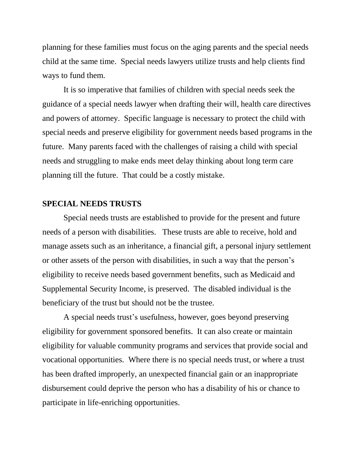planning for these families must focus on the aging parents and the special needs child at the same time. Special needs lawyers utilize trusts and help clients find ways to fund them.

It is so imperative that families of children with special needs seek the guidance of a special needs lawyer when drafting their will, health care directives and powers of attorney. Specific language is necessary to protect the child with special needs and preserve eligibility for government needs based programs in the future. Many parents faced with the challenges of raising a child with special needs and struggling to make ends meet delay thinking about long term care planning till the future. That could be a costly mistake.

# **SPECIAL NEEDS TRUSTS**

Special needs trusts are established to provide for the present and future needs of a person with disabilities. These trusts are able to receive, hold and manage assets such as an inheritance, a financial gift, a personal injury settlement or other assets of the person with disabilities, in such a way that the person's eligibility to receive needs based government benefits, such as Medicaid and Supplemental Security Income, is preserved. The disabled individual is the beneficiary of the trust but should not be the trustee.

A special needs trust's usefulness, however, goes beyond preserving eligibility for government sponsored benefits. It can also create or maintain eligibility for valuable community programs and services that provide social and vocational opportunities. Where there is no special needs trust, or where a trust has been drafted improperly, an unexpected financial gain or an inappropriate disbursement could deprive the person who has a disability of his or chance to participate in life-enriching opportunities.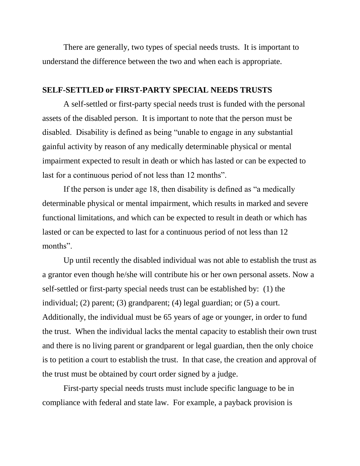There are generally, two types of special needs trusts. It is important to understand the difference between the two and when each is appropriate.

## **SELF-SETTLED or FIRST-PARTY SPECIAL NEEDS TRUSTS**

A self-settled or first-party special needs trust is funded with the personal assets of the disabled person. It is important to note that the person must be disabled. Disability is defined as being "unable to engage in any substantial gainful activity by reason of any medically determinable physical or mental impairment expected to result in death or which has lasted or can be expected to last for a continuous period of not less than 12 months".

If the person is under age 18, then disability is defined as "a medically determinable physical or mental impairment, which results in marked and severe functional limitations, and which can be expected to result in death or which has lasted or can be expected to last for a continuous period of not less than 12 months".

Up until recently the disabled individual was not able to establish the trust as a grantor even though he/she will contribute his or her own personal assets. Now a self-settled or first-party special needs trust can be established by: (1) the individual; (2) parent; (3) grandparent; (4) legal guardian; or (5) a court. Additionally, the individual must be 65 years of age or younger, in order to fund the trust. When the individual lacks the mental capacity to establish their own trust and there is no living parent or grandparent or legal guardian, then the only choice is to petition a court to establish the trust. In that case, the creation and approval of the trust must be obtained by court order signed by a judge.

First-party special needs trusts must include specific language to be in compliance with federal and state law. For example, a payback provision is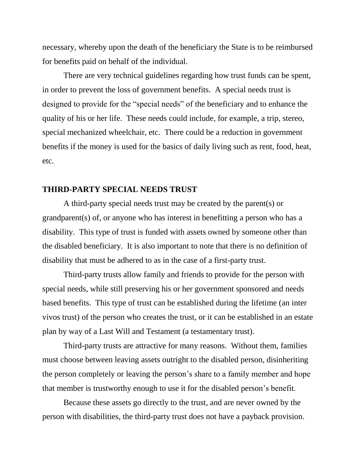necessary, whereby upon the death of the beneficiary the State is to be reimbursed for benefits paid on behalf of the individual.

There are very technical guidelines regarding how trust funds can be spent, in order to prevent the loss of government benefits. A special needs trust is designed to provide for the "special needs" of the beneficiary and to enhance the quality of his or her life. These needs could include, for example, a trip, stereo, special mechanized wheelchair, etc. There could be a reduction in government benefits if the money is used for the basics of daily living such as rent, food, heat, etc.

#### **THIRD-PARTY SPECIAL NEEDS TRUST**

A third-party special needs trust may be created by the parent(s) or grandparent(s) of, or anyone who has interest in benefitting a person who has a disability. This type of trust is funded with assets owned by someone other than the disabled beneficiary. It is also important to note that there is no definition of disability that must be adhered to as in the case of a first-party trust.

Third-party trusts allow family and friends to provide for the person with special needs, while still preserving his or her government sponsored and needs based benefits. This type of trust can be established during the lifetime (an inter vivos trust) of the person who creates the trust, or it can be established in an estate plan by way of a Last Will and Testament (a testamentary trust).

Third-party trusts are attractive for many reasons. Without them, families must choose between leaving assets outright to the disabled person, disinheriting the person completely or leaving the person's share to a family member and hope that member is trustworthy enough to use it for the disabled person's benefit.

Because these assets go directly to the trust, and are never owned by the person with disabilities, the third-party trust does not have a payback provision.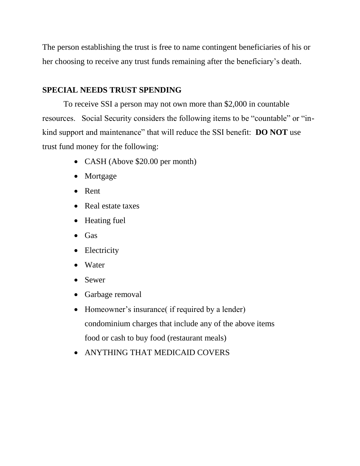The person establishing the trust is free to name contingent beneficiaries of his or her choosing to receive any trust funds remaining after the beneficiary's death.

# **SPECIAL NEEDS TRUST SPENDING**

To receive SSI a person may not own more than \$2,000 in countable resources. Social Security considers the following items to be "countable" or "inkind support and maintenance" that will reduce the SSI benefit: **DO NOT** use trust fund money for the following:

- CASH (Above \$20.00 per month)
- Mortgage
- Rent
- Real estate taxes
- Heating fuel
- Gas
- Electricity
- Water
- Sewer
- Garbage removal
- Homeowner's insurance (if required by a lender) condominium charges that include any of the above items food or cash to buy food (restaurant meals)
- ANYTHING THAT MEDICAID COVERS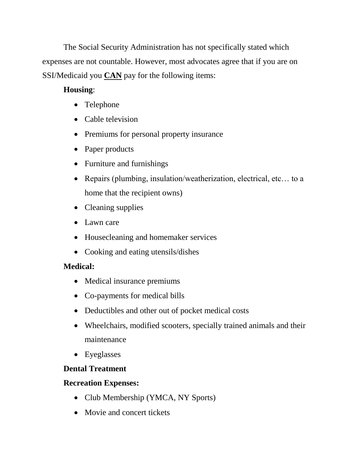The Social Security Administration has not specifically stated which expenses are not countable. However, most advocates agree that if you are on SSI/Medicaid you **CAN** pay for the following items:

# **Housing**:

- Telephone
- Cable television
- Premiums for personal property insurance
- Paper products
- Furniture and furnishings
- Repairs (plumbing, insulation/weatherization, electrical, etc... to a home that the recipient owns)
- Cleaning supplies
- Lawn care
- Housecleaning and homemaker services
- Cooking and eating utensils/dishes

# **Medical:**

- Medical insurance premiums
- Co-payments for medical bills
- Deductibles and other out of pocket medical costs
- Wheelchairs, modified scooters, specially trained animals and their maintenance
- Eyeglasses

# **Dental Treatment**

# **Recreation Expenses:**

- Club Membership (YMCA, NY Sports)
- Movie and concert tickets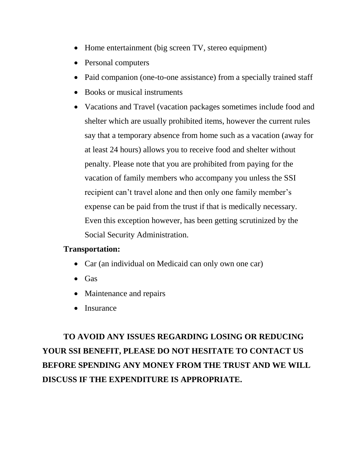- Home entertainment (big screen TV, stereo equipment)
- Personal computers
- Paid companion (one-to-one assistance) from a specially trained staff
- Books or musical instruments
- Vacations and Travel (vacation packages sometimes include food and shelter which are usually prohibited items, however the current rules say that a temporary absence from home such as a vacation (away for at least 24 hours) allows you to receive food and shelter without penalty. Please note that you are prohibited from paying for the vacation of family members who accompany you unless the SSI recipient can't travel alone and then only one family member's expense can be paid from the trust if that is medically necessary. Even this exception however, has been getting scrutinized by the Social Security Administration.

# **Transportation:**

- Car (an individual on Medicaid can only own one car)
- Gas
- Maintenance and repairs
- Insurance

**TO AVOID ANY ISSUES REGARDING LOSING OR REDUCING YOUR SSI BENEFIT, PLEASE DO NOT HESITATE TO CONTACT US BEFORE SPENDING ANY MONEY FROM THE TRUST AND WE WILL DISCUSS IF THE EXPENDITURE IS APPROPRIATE.**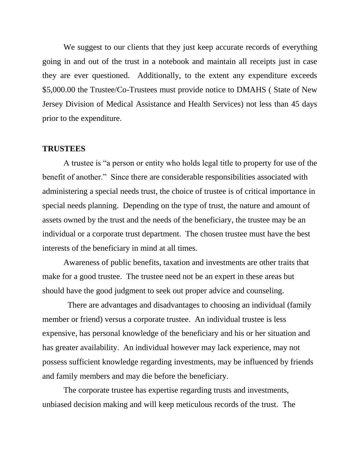We suggest to our clients that they just keep accurate records of everything going in and out of the trust in a notebook and maintain all receipts just in case they are ever questioned. Additionally, to the extent any expenditure exceeds \$5,000.00 the Trustee/Co-Trustees must provide notice to DMAHS ( State of New Jersey Division of Medical Assistance and Health Services) not less than 45 days prior to the expenditure.

#### **TRUSTEES**

A trustee is "a person or entity who holds legal title to property for use of the benefit of another." Since there are considerable responsibilities associated with administering a special needs trust, the choice of trustee is of critical importance in special needs planning. Depending on the type of trust, the nature and amount of assets owned by the trust and the needs of the beneficiary, the trustee may be an individual or a corporate trust department. The chosen trustee must have the best interests of the beneficiary in mind at all times.

Awareness of public benefits, taxation and investments are other traits that make for a good trustee. The trustee need not be an expert in these areas but should have the good judgment to seek out proper advice and counseling.

 There are advantages and disadvantages to choosing an individual (family member or friend) versus a corporate trustee. An individual trustee is less expensive, has personal knowledge of the beneficiary and his or her situation and has greater availability. An individual however may lack experience, may not possess sufficient knowledge regarding investments, may be influenced by friends and family members and may die before the beneficiary.

The corporate trustee has expertise regarding trusts and investments, unbiased decision making and will keep meticulous records of the trust. The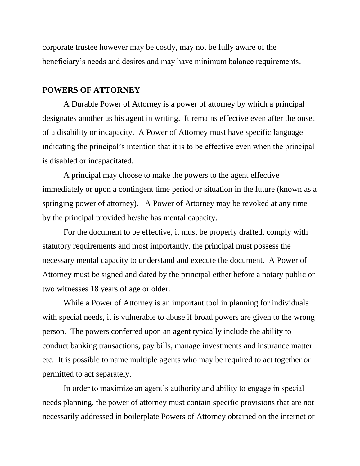corporate trustee however may be costly, may not be fully aware of the beneficiary's needs and desires and may have minimum balance requirements.

### **POWERS OF ATTORNEY**

A Durable Power of Attorney is a power of attorney by which a principal designates another as his agent in writing. It remains effective even after the onset of a disability or incapacity. A Power of Attorney must have specific language indicating the principal's intention that it is to be effective even when the principal is disabled or incapacitated.

A principal may choose to make the powers to the agent effective immediately or upon a contingent time period or situation in the future (known as a springing power of attorney). A Power of Attorney may be revoked at any time by the principal provided he/she has mental capacity.

For the document to be effective, it must be properly drafted, comply with statutory requirements and most importantly, the principal must possess the necessary mental capacity to understand and execute the document. A Power of Attorney must be signed and dated by the principal either before a notary public or two witnesses 18 years of age or older.

While a Power of Attorney is an important tool in planning for individuals with special needs, it is vulnerable to abuse if broad powers are given to the wrong person. The powers conferred upon an agent typically include the ability to conduct banking transactions, pay bills, manage investments and insurance matter etc. It is possible to name multiple agents who may be required to act together or permitted to act separately.

In order to maximize an agent's authority and ability to engage in special needs planning, the power of attorney must contain specific provisions that are not necessarily addressed in boilerplate Powers of Attorney obtained on the internet or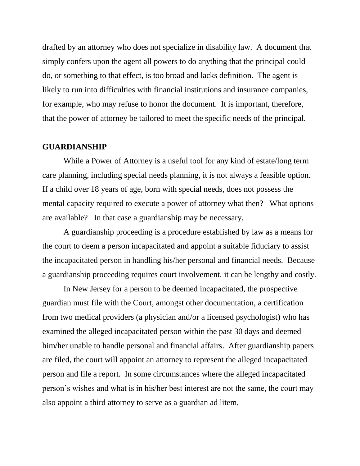drafted by an attorney who does not specialize in disability law. A document that simply confers upon the agent all powers to do anything that the principal could do, or something to that effect, is too broad and lacks definition. The agent is likely to run into difficulties with financial institutions and insurance companies, for example, who may refuse to honor the document. It is important, therefore, that the power of attorney be tailored to meet the specific needs of the principal.

### **GUARDIANSHIP**

While a Power of Attorney is a useful tool for any kind of estate/long term care planning, including special needs planning, it is not always a feasible option. If a child over 18 years of age, born with special needs, does not possess the mental capacity required to execute a power of attorney what then? What options are available? In that case a guardianship may be necessary.

A guardianship proceeding is a procedure established by law as a means for the court to deem a person incapacitated and appoint a suitable fiduciary to assist the incapacitated person in handling his/her personal and financial needs. Because a guardianship proceeding requires court involvement, it can be lengthy and costly.

In New Jersey for a person to be deemed incapacitated, the prospective guardian must file with the Court, amongst other documentation, a certification from two medical providers (a physician and/or a licensed psychologist) who has examined the alleged incapacitated person within the past 30 days and deemed him/her unable to handle personal and financial affairs. After guardianship papers are filed, the court will appoint an attorney to represent the alleged incapacitated person and file a report. In some circumstances where the alleged incapacitated person's wishes and what is in his/her best interest are not the same, the court may also appoint a third attorney to serve as a guardian ad litem.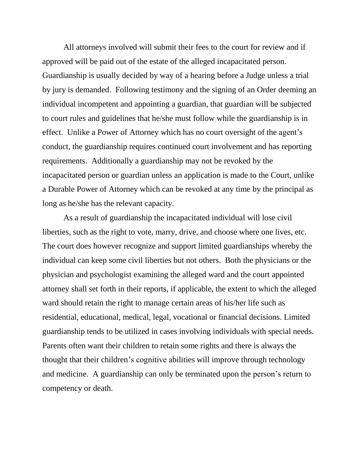All attorneys involved will submit their fees to the court for review and if approved will be paid out of the estate of the alleged incapacitated person. Guardianship is usually decided by way of a hearing before a Judge unless a trial by jury is demanded. Following testimony and the signing of an Order deeming an individual incompetent and appointing a guardian, that guardian will be subjected to court rules and guidelines that he/she must follow while the guardianship is in effect. Unlike a Power of Attorney which has no court oversight of the agent's conduct, the guardianship requires continued court involvement and has reporting requirements. Additionally a guardianship may not be revoked by the incapacitated person or guardian unless an application is made to the Court, unlike a Durable Power of Attorney which can be revoked at any time by the principal as long as he/she has the relevant capacity.

As a result of guardianship the incapacitated individual will lose civil liberties, such as the right to vote, marry, drive, and choose where one lives, etc. The court does however recognize and support limited guardianships whereby the individual can keep some civil liberties but not others. Both the physicians or the physician and psychologist examining the alleged ward and the court appointed attorney shall set forth in their reports, if applicable, the extent to which the alleged ward should retain the right to manage certain areas of his/her life such as residential, educational, medical, legal, vocational or financial decisions. Limited guardianship tends to be utilized in cases involving individuals with special needs. Parents often want their children to retain some rights and there is always the thought that their children's cognitive abilities will improve through technology and medicine. A guardianship can only be terminated upon the person's return to competency or death.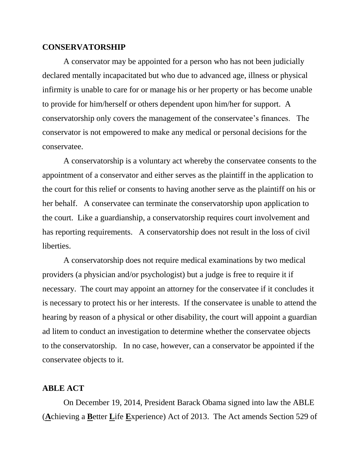#### **CONSERVATORSHIP**

A conservator may be appointed for a person who has not been judicially declared mentally incapacitated but who due to advanced age, illness or physical infirmity is unable to care for or manage his or her property or has become unable to provide for him/herself or others dependent upon him/her for support. A conservatorship only covers the management of the conservatee's finances. The conservator is not empowered to make any medical or personal decisions for the conservatee.

A conservatorship is a voluntary act whereby the conservatee consents to the appointment of a conservator and either serves as the plaintiff in the application to the court for this relief or consents to having another serve as the plaintiff on his or her behalf. A conservatee can terminate the conservatorship upon application to the court. Like a guardianship, a conservatorship requires court involvement and has reporting requirements. A conservatorship does not result in the loss of civil liberties.

A conservatorship does not require medical examinations by two medical providers (a physician and/or psychologist) but a judge is free to require it if necessary. The court may appoint an attorney for the conservatee if it concludes it is necessary to protect his or her interests. If the conservatee is unable to attend the hearing by reason of a physical or other disability, the court will appoint a guardian ad litem to conduct an investigation to determine whether the conservatee objects to the conservatorship. In no case, however, can a conservator be appointed if the conservatee objects to it.

## **ABLE ACT**

On December 19, 2014, President Barack Obama signed into law the ABLE (**A**chieving a **B**etter **L**ife **E**xperience) Act of 2013. The Act amends Section 529 of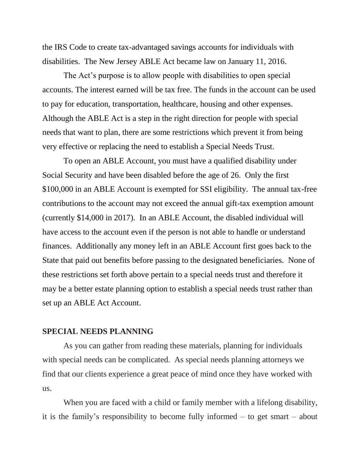the IRS Code to create tax-advantaged savings accounts for individuals with disabilities. The New Jersey ABLE Act became law on January 11, 2016.

The Act's purpose is to allow people with disabilities to open special accounts. The interest earned will be tax free. The funds in the account can be used to pay for education, transportation, healthcare, housing and other expenses. Although the ABLE Act is a step in the right direction for people with special needs that want to plan, there are some restrictions which prevent it from being very effective or replacing the need to establish a Special Needs Trust.

To open an ABLE Account, you must have a qualified disability under Social Security and have been disabled before the age of 26. Only the first \$100,000 in an ABLE Account is exempted for SSI eligibility. The annual tax-free contributions to the account may not exceed the annual gift-tax exemption amount (currently \$14,000 in 2017). In an ABLE Account, the disabled individual will have access to the account even if the person is not able to handle or understand finances. Additionally any money left in an ABLE Account first goes back to the State that paid out benefits before passing to the designated beneficiaries. None of these restrictions set forth above pertain to a special needs trust and therefore it may be a better estate planning option to establish a special needs trust rather than set up an ABLE Act Account.

#### **SPECIAL NEEDS PLANNING**

As you can gather from reading these materials, planning for individuals with special needs can be complicated. As special needs planning attorneys we find that our clients experience a great peace of mind once they have worked with us.

When you are faced with a child or family member with a lifelong disability, it is the family's responsibility to become fully informed – to get smart – about